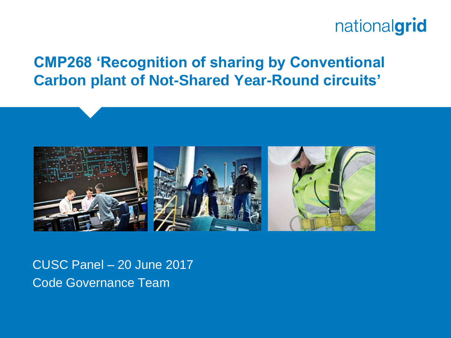#### **CMP268 'Recognition of sharing by Conventional Carbon plant of Not-Shared Year-Round circuits'**



CUSC Panel – 20 June 2017 Code Governance Team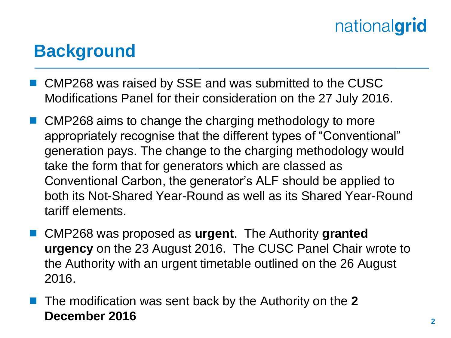### **Background**

- CMP268 was raised by SSE and was submitted to the CUSC Modifications Panel for their consideration on the 27 July 2016.
- CMP268 aims to change the charging methodology to more appropriately recognise that the different types of "Conventional" generation pays. The change to the charging methodology would take the form that for generators which are classed as Conventional Carbon, the generator's ALF should be applied to both its Not-Shared Year-Round as well as its Shared Year-Round tariff elements.
- CMP268 was proposed as **urgent**. The Authority **granted urgency** on the 23 August 2016. The CUSC Panel Chair wrote to the Authority with an urgent timetable outlined on the 26 August 2016.
- The modification was sent back by the Authority on the **2 December 2016**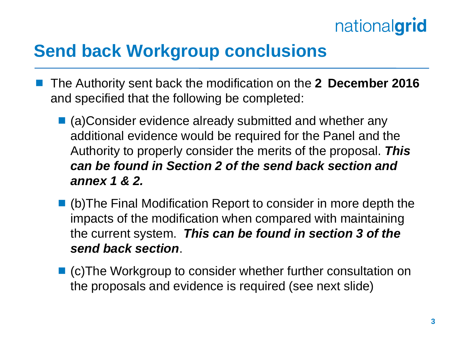### **Send back Workgroup conclusions**

- The Authority sent back the modification on the **2 December 2016**  and specified that the following be completed:
	- (a)Consider evidence already submitted and whether any additional evidence would be required for the Panel and the Authority to properly consider the merits of the proposal. *This can be found in Section 2 of the send back section and annex 1 & 2.*
	- (b)The Final Modification Report to consider in more depth the impacts of the modification when compared with maintaining the current system. *This can be found in section 3 of the send back section*.
	- (c)The Workgroup to consider whether further consultation on the proposals and evidence is required (see next slide)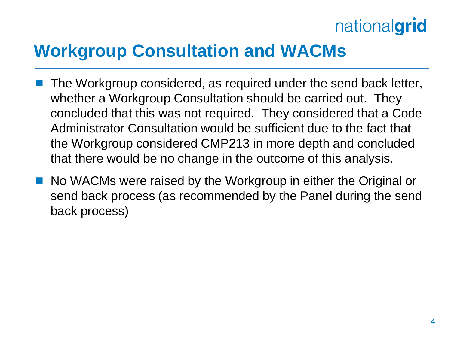### **Workgroup Consultation and WACMs**

- The Workgroup considered, as required under the send back letter, whether a Workgroup Consultation should be carried out. They concluded that this was not required. They considered that a Code Administrator Consultation would be sufficient due to the fact that the Workgroup considered CMP213 in more depth and concluded that there would be no change in the outcome of this analysis.
- No WACMs were raised by the Workgroup in either the Original or send back process (as recommended by the Panel during the send back process)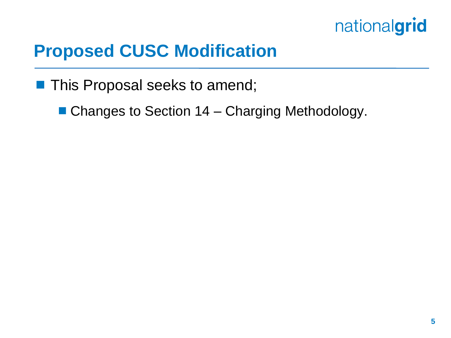

#### **Proposed CUSC Modification**

**This Proposal seeks to amend;** 

■ Changes to Section 14 – Charging Methodology.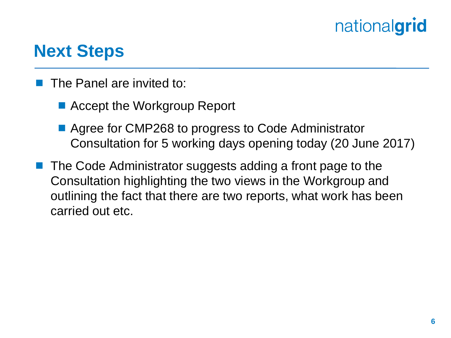#### **Next Steps**

- The Panel are invited to:
	- Accept the Workgroup Report
	- Agree for CMP268 to progress to Code Administrator Consultation for 5 working days opening today (20 June 2017)
- The Code Administrator suggests adding a front page to the Consultation highlighting the two views in the Workgroup and outlining the fact that there are two reports, what work has been carried out etc.